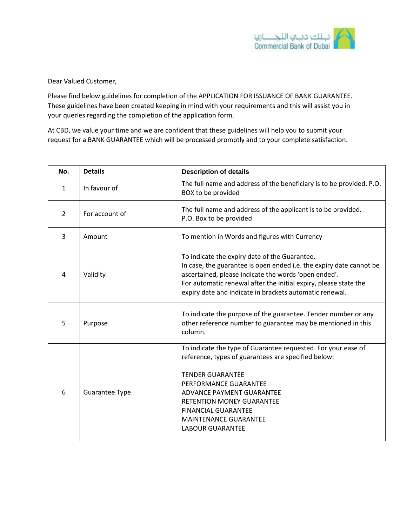

Dear Valued Customer,

Please find below guidelines for completion of the APPLICATION FOR ISSUANCE OF BANK GUARANTEE. These guidelines have been created keeping in mind with your requirements and this will assist you in your queries regarding the completion of the application form.

At CBD, we value your time and we are confident that these guidelines will help you to submit your request for a BANK GUARANTEE which will be processed promptly and to your complete satisfaction.

| No.            | <b>Details</b>        | <b>Description of details</b>                                                                                                                                                                                                                                                                                                      |
|----------------|-----------------------|------------------------------------------------------------------------------------------------------------------------------------------------------------------------------------------------------------------------------------------------------------------------------------------------------------------------------------|
| $\mathbf{1}$   | In favour of          | The full name and address of the beneficiary is to be provided. P.O.<br>BOX to be provided                                                                                                                                                                                                                                         |
| $\overline{2}$ | For account of        | The full name and address of the applicant is to be provided.<br>P.O. Box to be provided                                                                                                                                                                                                                                           |
| 3              | Amount                | To mention in Words and figures with Currency                                                                                                                                                                                                                                                                                      |
| 4              | Validity              | To indicate the expiry date of the Guarantee.<br>In case, the guarantee is open ended i.e. the expiry date cannot be<br>ascertained, please indicate the words 'open ended'.<br>For automatic renewal after the initial expiry, please state the<br>expiry date and indicate in brackets automatic renewal.                        |
| 5              | Purpose               | To indicate the purpose of the guarantee. Tender number or any<br>other reference number to guarantee may be mentioned in this<br>column.                                                                                                                                                                                          |
| 6              | <b>Guarantee Type</b> | To indicate the type of Guarantee requested. For your ease of<br>reference, types of guarantees are specified below:<br><b>TENDER GUARANTEE</b><br>PERFORMANCE GUARANTEE<br>ADVANCE PAYMENT GUARANTEE<br><b>RETENTION MONEY GUARANTEE</b><br><b>FINANCIAL GUARANTEE</b><br><b>MAINTENANCE GUARANTEE</b><br><b>LABOUR GUARANTEE</b> |